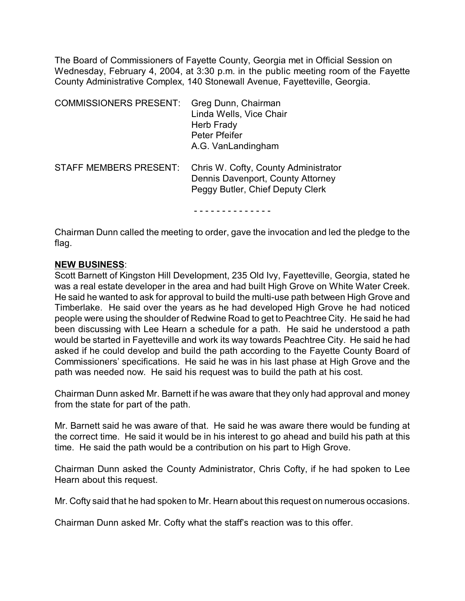The Board of Commissioners of Fayette County, Georgia met in Official Session on Wednesday, February 4, 2004, at 3:30 p.m. in the public meeting room of the Fayette County Administrative Complex, 140 Stonewall Avenue, Fayetteville, Georgia.

| <b>COMMISSIONERS PRESENT:</b> | Greg Dunn, Chairman<br>Linda Wells, Vice Chair<br>Herb Frady<br>Peter Pfeifer<br>A.G. VanLandingham           |
|-------------------------------|---------------------------------------------------------------------------------------------------------------|
| <b>STAFF MEMBERS PRESENT:</b> | Chris W. Cofty, County Administrator<br>Dennis Davenport, County Attorney<br>Peggy Butler, Chief Deputy Clerk |

Chairman Dunn called the meeting to order, gave the invocation and led the pledge to the flag.

## **NEW BUSINESS**:

Scott Barnett of Kingston Hill Development, 235 Old Ivy, Fayetteville, Georgia, stated he was a real estate developer in the area and had built High Grove on White Water Creek. He said he wanted to ask for approval to build the multi-use path between High Grove and Timberlake. He said over the years as he had developed High Grove he had noticed people were using the shoulder of Redwine Road to get to Peachtree City. He said he had been discussing with Lee Hearn a schedule for a path. He said he understood a path would be started in Fayetteville and work its way towards Peachtree City. He said he had asked if he could develop and build the path according to the Fayette County Board of Commissioners' specifications. He said he was in his last phase at High Grove and the path was needed now. He said his request was to build the path at his cost.

Chairman Dunn asked Mr. Barnett if he was aware that they only had approval and money from the state for part of the path.

Mr. Barnett said he was aware of that. He said he was aware there would be funding at the correct time. He said it would be in his interest to go ahead and build his path at this time. He said the path would be a contribution on his part to High Grove.

Chairman Dunn asked the County Administrator, Chris Cofty, if he had spoken to Lee Hearn about this request.

Mr. Cofty said that he had spoken to Mr. Hearn about this request on numerous occasions.

Chairman Dunn asked Mr. Cofty what the staff's reaction was to this offer.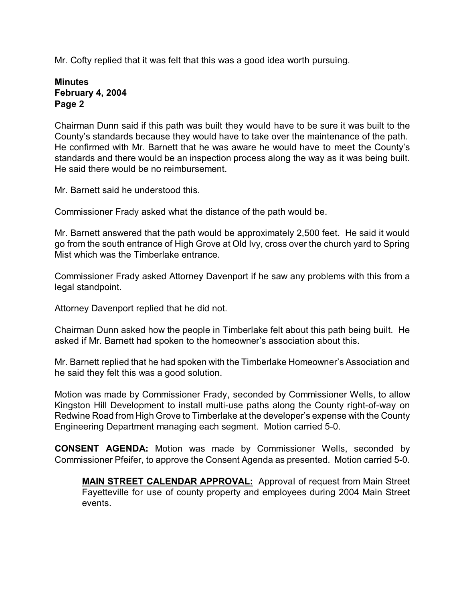Mr. Cofty replied that it was felt that this was a good idea worth pursuing.

## **Minutes February 4, 2004 Page 2**

Chairman Dunn said if this path was built they would have to be sure it was built to the County's standards because they would have to take over the maintenance of the path. He confirmed with Mr. Barnett that he was aware he would have to meet the County's standards and there would be an inspection process along the way as it was being built. He said there would be no reimbursement.

Mr. Barnett said he understood this.

Commissioner Frady asked what the distance of the path would be.

Mr. Barnett answered that the path would be approximately 2,500 feet. He said it would go from the south entrance of High Grove at Old Ivy, cross over the church yard to Spring Mist which was the Timberlake entrance.

Commissioner Frady asked Attorney Davenport if he saw any problems with this from a legal standpoint.

Attorney Davenport replied that he did not.

Chairman Dunn asked how the people in Timberlake felt about this path being built. He asked if Mr. Barnett had spoken to the homeowner's association about this.

Mr. Barnett replied that he had spoken with the Timberlake Homeowner's Association and he said they felt this was a good solution.

Motion was made by Commissioner Frady, seconded by Commissioner Wells, to allow Kingston Hill Development to install multi-use paths along the County right-of-way on Redwine Road from High Grove to Timberlake at the developer's expense with the County Engineering Department managing each segment. Motion carried 5-0.

**CONSENT AGENDA:** Motion was made by Commissioner Wells, seconded by Commissioner Pfeifer, to approve the Consent Agenda as presented. Motion carried 5-0.

**MAIN STREET CALENDAR APPROVAL:** Approval of request from Main Street Fayetteville for use of county property and employees during 2004 Main Street events.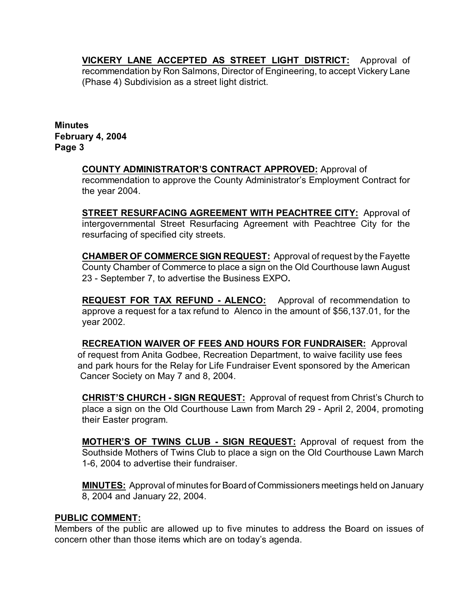**VICKERY LANE ACCEPTED AS STREET LIGHT DISTRICT:** Approval of recommendation by Ron Salmons, Director of Engineering, to accept Vickery Lane (Phase 4) Subdivision as a street light district.

**Minutes February 4, 2004 Page 3**

> **COUNTY ADMINISTRATOR'S CONTRACT APPROVED:** Approval of recommendation to approve the County Administrator's Employment Contract for the year 2004.

> **STREET RESURFACING AGREEMENT WITH PEACHTREE CITY:** Approval of intergovernmental Street Resurfacing Agreement with Peachtree City for the resurfacing of specified city streets.

> **CHAMBER OF COMMERCE SIGN REQUEST:** Approval of request by the Fayette County Chamber of Commerce to place a sign on the Old Courthouse lawn August 23 - September 7, to advertise the Business EXPO**.**

> **REQUEST FOR TAX REFUND - ALENCO:** Approval of recommendation to approve a request for a tax refund to Alenco in the amount of \$56,137.01, for the year 2002.

**RECREATION WAIVER OF FEES AND HOURS FOR FUNDRAISER:** Approval of request from Anita Godbee, Recreation Department, to waive facility use fees and park hours for the Relay for Life Fundraiser Event sponsored by the American Cancer Society on May 7 and 8, 2004.

**CHRIST'S CHURCH - SIGN REQUEST:** Approval of request from Christ's Church to place a sign on the Old Courthouse Lawn from March 29 - April 2, 2004, promoting their Easter program.

**MOTHER'S OF TWINS CLUB - SIGN REQUEST:** Approval of request from the Southside Mothers of Twins Club to place a sign on the Old Courthouse Lawn March 1-6, 2004 to advertise their fundraiser.

**MINUTES:** Approval of minutes for Board of Commissioners meetings held on January 8, 2004 and January 22, 2004.

## **PUBLIC COMMENT:**

Members of the public are allowed up to five minutes to address the Board on issues of concern other than those items which are on today's agenda.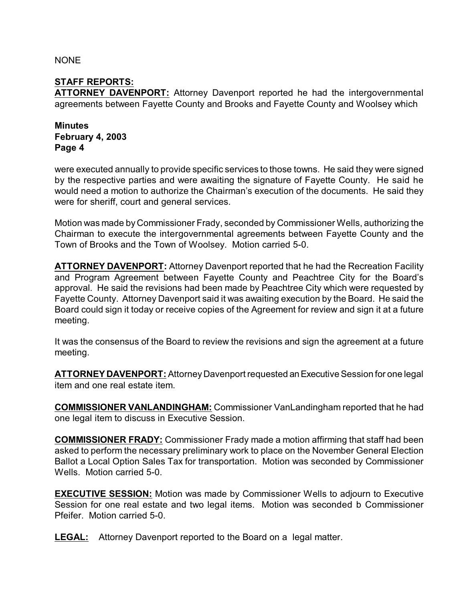**NONE** 

## **STAFF REPORTS:**

**ATTORNEY DAVENPORT:** Attorney Davenport reported he had the intergovernmental agreements between Fayette County and Brooks and Fayette County and Woolsey which

**Minutes February 4, 2003 Page 4**

were executed annually to provide specific services to those towns. He said they were signed by the respective parties and were awaiting the signature of Fayette County. He said he would need a motion to authorize the Chairman's execution of the documents. He said they were for sheriff, court and general services.

Motion was made by Commissioner Frady, seconded by Commissioner Wells, authorizing the Chairman to execute the intergovernmental agreements between Fayette County and the Town of Brooks and the Town of Woolsey. Motion carried 5-0.

**ATTORNEY DAVENPORT:** Attorney Davenport reported that he had the Recreation Facility and Program Agreement between Fayette County and Peachtree City for the Board's approval. He said the revisions had been made by Peachtree City which were requested by Fayette County. Attorney Davenport said it was awaiting execution by the Board. He said the Board could sign it today or receive copies of the Agreement for review and sign it at a future meeting.

It was the consensus of the Board to review the revisions and sign the agreement at a future meeting.

**ATTORNEY DAVENPORT:** Attorney Davenport requested an Executive Session for one legal item and one real estate item.

**COMMISSIONER VANLANDINGHAM:** Commissioner VanLandingham reported that he had one legal item to discuss in Executive Session.

**COMMISSIONER FRADY:** Commissioner Frady made a motion affirming that staff had been asked to perform the necessary preliminary work to place on the November General Election Ballot a Local Option Sales Tax for transportation. Motion was seconded by Commissioner Wells. Motion carried 5-0.

**EXECUTIVE SESSION:** Motion was made by Commissioner Wells to adjourn to Executive Session for one real estate and two legal items. Motion was seconded b Commissioner Pfeifer. Motion carried 5-0.

**LEGAL:** Attorney Davenport reported to the Board on a legal matter.